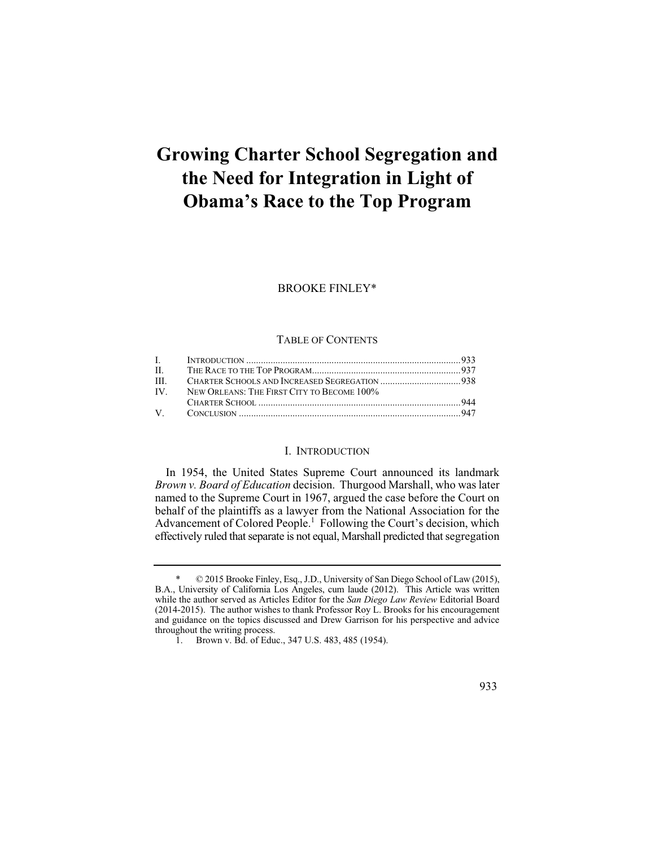# **Growing Charter School Segregation and the Need for Integration in Light of Obama's Race to the Top Program**

#### BROOKE FINLEY\*

#### TABLE OF CONTENTS

| $\Pi$ . $\Box$ |                                                |  |
|----------------|------------------------------------------------|--|
| HL.            |                                                |  |
|                | IV. NEW ORLEANS: THE FIRST CITY TO BECOME 100% |  |
|                |                                                |  |
|                |                                                |  |

#### I. INTRODUCTION

 *Brown v. Board of Education* decision. Thurgood Marshall, who was later In 1954, the United States Supreme Court announced its landmark named to the Supreme Court in 1967, argued the case before the Court on behalf of the plaintiffs as a lawyer from the National Association for the Advancement of Colored People.<sup>1</sup> Following the Court's decision, which effectively ruled that separate is not equal, Marshall predicted that segregation

<sup>\* © 2015</sup> Brooke Finley, Esq., J.D., University of San Diego School of Law (2015), B.A., University of California Los Angeles, cum laude (2012). This Article was written while the author served as Articles Editor for the *San Diego Law Review* Editorial Board (2014-2015). The author wishes to thank Professor Roy L. Brooks for his encouragement and guidance on the topics discussed and Drew Garrison for his perspective and advice throughout the writing process.

<sup>1.</sup> Brown v. Bd. of Educ., 347 U.S. 483, 485 (1954).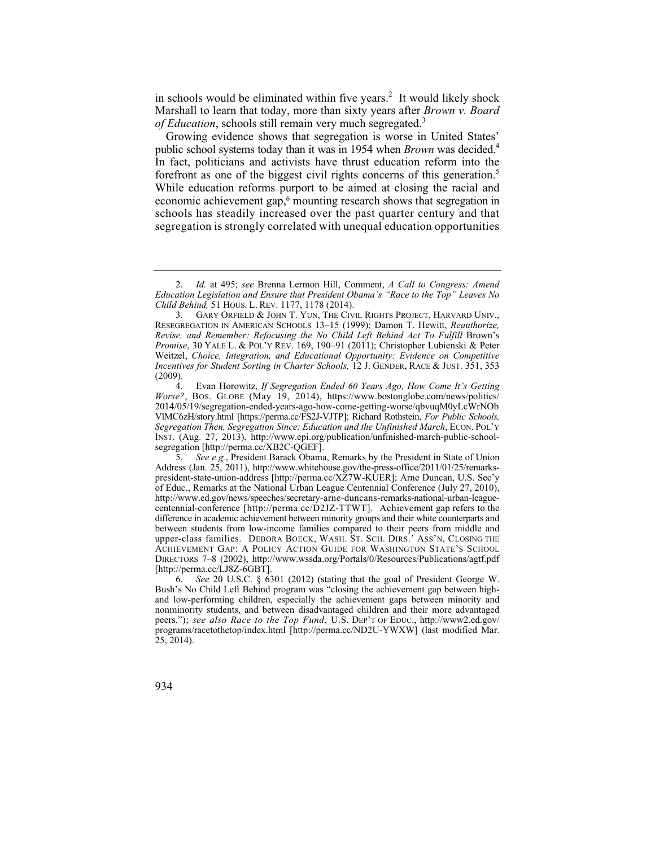in schools would be eliminated within five years.<sup>2</sup> It would likely shock Marshall to learn that today, more than sixty years after *Brown v. Board of Education*, schools still remain very much segregated.<sup>3</sup>

economic achievement gap,<sup>6</sup> mounting research shows that segregation in Growing evidence shows that segregation is worse in United States' public school systems today than it was in 1954 when *Brown* was decided.4 In fact, politicians and activists have thrust education reform into the forefront as one of the biggest civil rights concerns of this generation.<sup>5</sup> While education reforms purport to be aimed at closing the racial and schools has steadily increased over the past quarter century and that segregation is strongly correlated with unequal education opportunities

 4. Evan Horowitz, *If Segregation Ended 60 Years Ago, How Come It's Getting Worse?*, BOS. GLOBE (May 19, 2014), https://www.bostonglobe.com/news/politics/ 2014/05/19/segregation-ended-years-ago-how-come-getting-worse/qbvuqM0yLcWrNOb VlMC6zH/story.html [https://perma.cc/FS2J-VJTP]; Richard Rothstein, *For Public Schools, Segregation Then, Segregation Since: Education and the Unfinished March*, ECON. POL'Y INST. (Aug. 27, 2013), http://www.epi.org/publication/unfinished-march-public-schoolsegregation [http://perma.cc/XB2C-QGEF].<br>5. See e.g., President Barack Obama

<sup>2.</sup> *Id.* at 495; *see* Brenna Lermon Hill, Comment, *A Call to Congress: Amend Education Legislation and Ensure that President Obama's "Race to the Top" Leaves No Child Behind,* 51 HOUS. L. REV. 1177, 1178 (2014).

<sup>3.</sup> GARY ORFIELD & JOHN T. YUN, THE CIVIL RIGHTS PROJECT, HARVARD UNIV., RESEGREGATION IN AMERICAN SCHOOLS 13–15 (1999); Damon T. Hewitt, *Reauthorize, Revise, and Remember: Refocusing the No Child Left Behind Act To Fulfill Brown's Promise*, 30 YALE L. & POL'Y REV. 169, 190–91 (2011); Christopher Lubienski & Peter Weitzel, *Choice, Integration, and Educational Opportunity: Evidence on Competitive Incentives for Student Sorting in Charter Schools, 12 J. GENDER, RACE & JUST.* 351, 353  $(2009)$ .

 difference in academic achievement between minority groups and their white counterparts and 5. *See e.g.*, President Barack Obama, Remarks by the President in State of Union Address (Jan. 25, 2011), http://www.whitehouse.gov/the-press-office/2011/01/25/remarkspresident-state-union-address [http://perma.cc/XZ7W-KUER]; Arne Duncan, U.S. Sec'y of Educ., Remarks at the National Urban League Centennial Conference (July 27, 2010), http://www.ed.gov/news/speeches/secretary-arne-duncans-remarks-national-urban-leaguecentennial-conference [http://perma.cc/D2JZ-TTWT]. Achievement gap refers to the between students from low-income families compared to their peers from middle and upper-class families. DEBORA BOECK, WASH. ST. SCH. DIRS.' ASS'N, CLOSING THE ACHIEVEMENT GAP: A POLICY ACTION GUIDE FOR WASHINGTON STATE'S SCHOOL DIRECTORS 7–8 (2002), http://www.wssda.org/Portals/0/Resources/Publications/agtf.pdf [http://perma.cc/LJ8Z-6GBT].<br>6. *See* 20 U.S.C. § 63

 and low-performing children, especially the achievement gaps between minority and 6. *See* 20 U.S.C. § 6301 (2012) (stating that the goal of President George W. Bush's No Child Left Behind program was "closing the achievement gap between highnonminority students, and between disadvantaged children and their more advantaged peers."); *see also Race to the Top Fund*, U.S. DEP'T OF EDUC., http://www2.ed.gov/ programs/racetothetop/index.html [http://perma.cc/ND2U-YWXW] (last modified Mar. 25, 2014).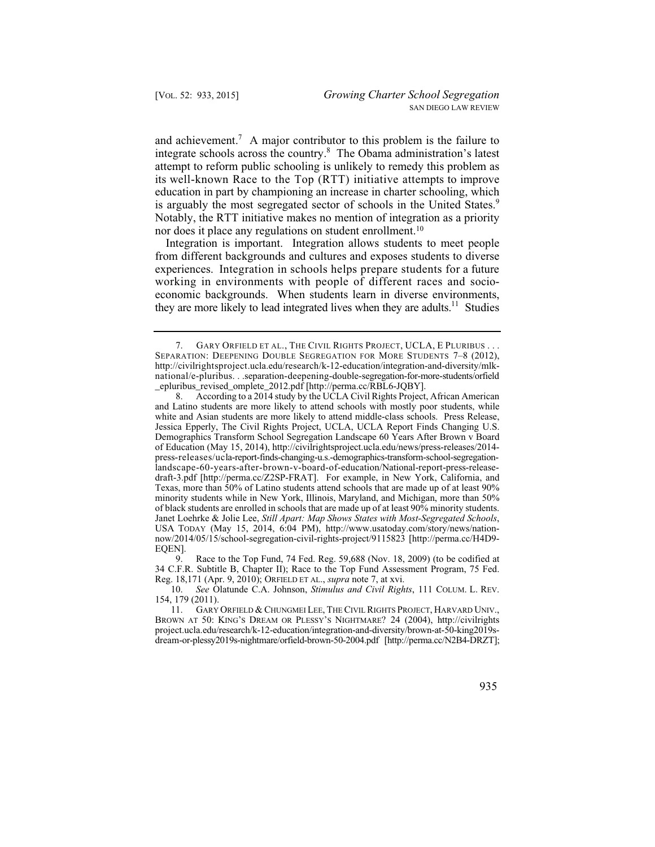its well-known Race to the Top (RTT) initiative attempts to improve and achievement.<sup>7</sup> A major contributor to this problem is the failure to integrate schools across the country.8 The Obama administration's latest attempt to reform public schooling is unlikely to remedy this problem as education in part by championing an increase in charter schooling, which is arguably the most segregated sector of schools in the United States.<sup>9</sup> Notably, the RTT initiative makes no mention of integration as a priority nor does it place any regulations on student enrollment.<sup>10</sup>

 experiences. Integration in schools helps prepare students for a future they are more likely to lead integrated lives when they are adults.<sup>11</sup> Studies Integration is important. Integration allows students to meet people from different backgrounds and cultures and exposes students to diverse working in environments with people of different races and socioeconomic backgrounds. When students learn in diverse environments,

9. Race to the Top Fund, 74 Fed. Reg. 59,688 (Nov. 18, 2009) (to be codified at 34 C.F.R. Subtitle B, Chapter II); Race to the Top Fund Assessment Program, 75 Fed. Reg. 18,171 (Apr. 9, 2010); ORFIELD ET AL., *supra* note 7, at xvi.

10. *See* Olatunde C.A. Johnson, *Stimulus and Civil Rights*, 111 COLUM. L. REV. 154, 179 (2011).

<sup>7.</sup> GARY ORFIELD ET AL., THE CIVIL RIGHTS PROJECT, UCLA, E PLURIBUS . . . SEPARATION: DEEPENING DOUBLE SEGREGATION FOR MORE STUDENTS 7–8 (2012), http://civilrightsproject.ucla.edu/research/k-12-education/integration-and-diversity/mlknational/e-pluribus. . .separation-deepening-double-segregation-for-more-students/orfield \_epluribus\_revised\_omplete\_2012.pdf [http://perma.cc/RBL6-JQBY].

<sup>8.</sup> According to a 2014 study by the UCLA Civil Rights Project, African American and Latino students are more likely to attend schools with mostly poor students, while white and Asian students are more likely to attend middle-class schools. Press Release, Jessica Epperly, The Civil Rights Project, UCLA, UCLA Report Finds Changing U.S. Demographics Transform School Segregation Landscape 60 Years After Brown v Board of Education (May 15, 2014), http://civilrightsproject.ucla.edu/news/press-releases/2014 press-releases/ucla-report-finds-changing-u.s.-demographics-transform-school-segregationlandscape-60-years-after-brown-v-board-of-education/National-report-press-releasedraft-3.pdf [http://perma.cc/Z2SP-FRAT]. For example, in New York, California, and Texas, more than 50% of Latino students attend schools that are made up of at least 90% minority students while in New York, Illinois, Maryland, and Michigan, more than 50% of black students are enrolled in schools that are made up of at least 90% minority students. Janet Loehrke & Jolie Lee, *Still Apart: Map Shows States with Most-Segregated Schools*, USA TODAY (May 15, 2014, 6:04 PM), http://www.usatoday.com/story/news/nationnow/2014/05/15/school-segregation-civil-rights-project/9115823 [http://perma.cc/H4D9 EQEN].

<sup>11.</sup> GARY ORFIELD & CHUNGMEI LEE, THE CIVIL RIGHTS PROJECT, HARVARD UNIV., BROWN AT 50: KING'S DREAM OR PLESSY'S NIGHTMARE? 24 (2004), http://civilrights project.ucla.edu/research/k-12-education/integration-and-diversity/brown-at-50-king2019sdream-or-plessy2019s-nightmare/orfield-brown-50-2004.pdf [http://perma.cc/N2B4-DRZT];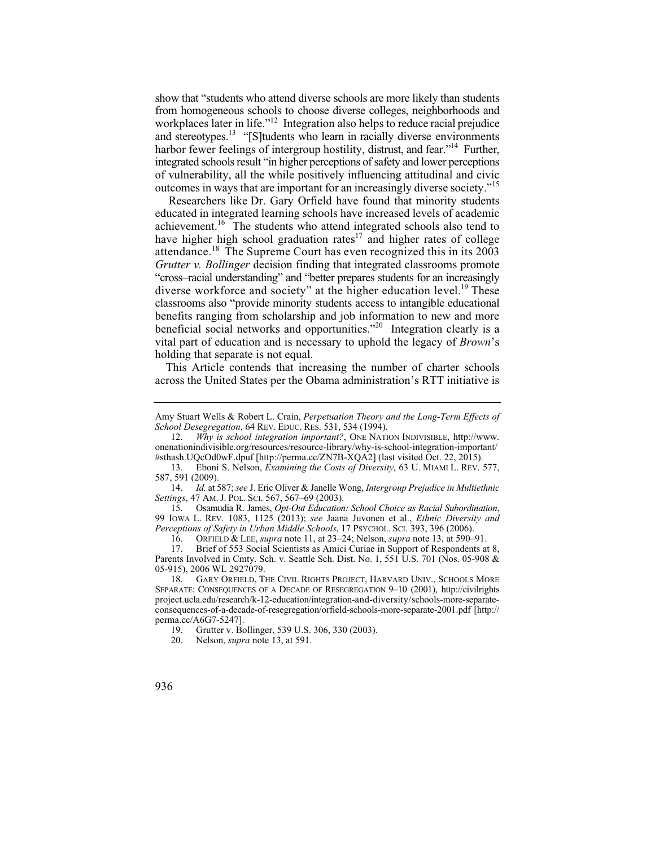harbor fewer feelings of intergroup hostility, distrust, and fear."<sup>14</sup> Further, show that "students who attend diverse schools are more likely than students from homogeneous schools to choose diverse colleges, neighborhoods and workplaces later in life."<sup>12</sup> Integration also helps to reduce racial prejudice and stereotypes.<sup>13</sup> "[S]tudents who learn in racially diverse environments integrated schools result "in higher perceptions of safety and lower perceptions of vulnerability, all the while positively influencing attitudinal and civic outcomes in ways that are important for an increasingly diverse society."15

attendance.<sup>18</sup> The Supreme Court has even recognized this in its  $2003$ Researchers like Dr. Gary Orfield have found that minority students educated in integrated learning schools have increased levels of academic achievement.16 The students who attend integrated schools also tend to have higher high school graduation rates $17$  and higher rates of college *Grutter v. Bollinger* decision finding that integrated classrooms promote "cross–racial understanding" and "better prepares students for an increasingly diverse workforce and society" at the higher education level.<sup>19</sup> These classrooms also "provide minority students access to intangible educational benefits ranging from scholarship and job information to new and more beneficial social networks and opportunities."20 Integration clearly is a vital part of education and is necessary to uphold the legacy of *Brown*'s holding that separate is not equal.

This Article contends that increasing the number of charter schools across the United States per the Obama administration's RTT initiative is

15. Osamudia R. James, *Opt-Out Education: School Choice as Racial Subordination*, 99 IOWA L. REV. 1083, 1125 (2013); *see* Jaana Juvonen et al., *Ethnic Diversity and Perceptions of Safety in Urban Middle Schools*, 17 PSYCHOL. SCI. 393, 396 (2006).

16. ORFIELD & LEE, *supra* note 11, at 23–24; Nelson, *supra* note 13, at 590–91. Brief of 553 Social Scientists as Amici Curiae in Support of Respondents at 8, Parents Involved in Cmty. Sch. v. Seattle Sch. Dist. No. 1, 551 U.S. 701 (Nos. 05-908 & 05-915), 2006 WL 2927079.

18. GARY ORFIELD, THE CIVIL RIGHTS PROJECT, HARVARD UNIV., SCHOOLS MORE SEPARATE: CONSEQUENCES OF A DECADE OF RESEGREGATION 9–10 (2001), http://civilrights project.ucla.edu/research/k-12-education/integration-and-diversity/schools-more-separateconsequences-of-a-decade-of-resegregation/orfield-schools-more-separate-2001.pdf [http:// perma.cc/A6G7-5247].

Amy Stuart Wells & Robert L. Crain, *Perpetuation Theory and the Long-Term Effects of School Desegregation*, 64 REV. EDUC. RES. 531, 534 (1994).

<sup>12.</sup> *Why is school integration important?*, ONE NATION INDIVISIBLE, http://www. onenationindivisible.org/resources/resource-library/why-is-school-integration-important/ #sthash.UQcOd0wF.dpuf [http://perma.cc/ZN7B-XQA2] (last visited Oct. 22, 2015).

<sup>13.</sup> Eboni S. Nelson, *Examining the Costs of Diversity*, 63 U. MIAMI L. REV. 577, 587, 591 (2009).

<sup>14.</sup> *Id.* at 587; *see* J. Eric Oliver & Janelle Wong, *Intergroup Prejudice in Multiethnic Settings*, 47 AM. J. POL. SCI. 567, 567–69 (2003).

<sup>19.</sup> Grutter v. Bollinger, 539 U.S. 306, 330 (2003).<br>20. Nelson. *supra* note 13. at 591.

Nelson, *supra* note 13, at 591.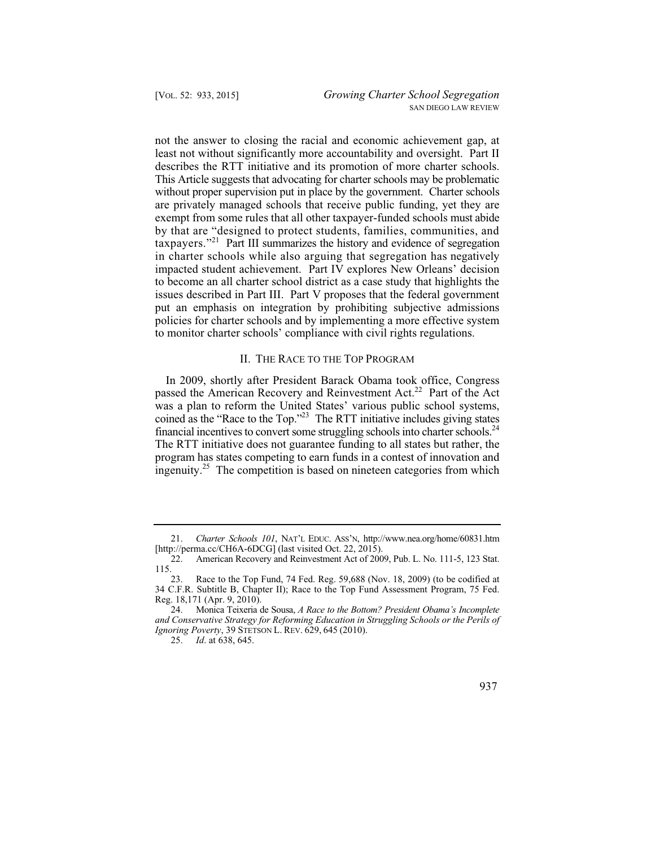exempt from some rules that all other taxpayer-funded schools must abide taxpayers."<sup>21</sup> Part III summarizes the history and evidence of segregation in charter schools while also arguing that segregation has negatively not the answer to closing the racial and economic achievement gap, at least not without significantly more accountability and oversight. Part II describes the RTT initiative and its promotion of more charter schools. This Article suggests that advocating for charter schools may be problematic without proper supervision put in place by the government. Charter schools are privately managed schools that receive public funding, yet they are by that are "designed to protect students, families, communities, and impacted student achievement. Part IV explores New Orleans' decision to become an all charter school district as a case study that highlights the issues described in Part III. Part V proposes that the federal government put an emphasis on integration by prohibiting subjective admissions policies for charter schools and by implementing a more effective system to monitor charter schools' compliance with civil rights regulations.

#### II. THE RACE TO THE TOP PROGRAM

In 2009, shortly after President Barack Obama took office, Congress passed the American Recovery and Reinvestment Act.<sup>22</sup> Part of the Act was a plan to reform the United States' various public school systems, coined as the "Race to the Top."23 The RTT initiative includes giving states financial incentives to convert some struggling schools into charter schools.24 The RTT initiative does not guarantee funding to all states but rather, the program has states competing to earn funds in a contest of innovation and ingenuity.<sup>25</sup> The competition is based on nineteen categories from which

 <sup>25.</sup> *Id*. at 638, 645.



<sup>21.</sup> *Charter Schools 101*, NAT'L EDUC. ASS'N, http://www.nea.org/home/60831.htm [http://perma.cc/CH6A-6DCG] (last visited Oct. 22, 2015).

<sup>22.</sup> American Recovery and Reinvestment Act of 2009, Pub. L. No. 111-5, 123 Stat. 115.

<sup>23.</sup> Race to the Top Fund, 74 Fed. Reg. 59,688 (Nov. 18, 2009) (to be codified at 34 C.F.R. Subtitle B, Chapter II); Race to the Top Fund Assessment Program, 75 Fed. Reg. 18,171 (Apr. 9, 2010).

<sup>24.</sup> Monica Teixeria de Sousa, *A Race to the Bottom? President Obama's Incomplete and Conservative Strategy for Reforming Education in Struggling Schools or the Perils of Ignoring Poverty*, 39 STETSON L. REV. 629, 645 (2010).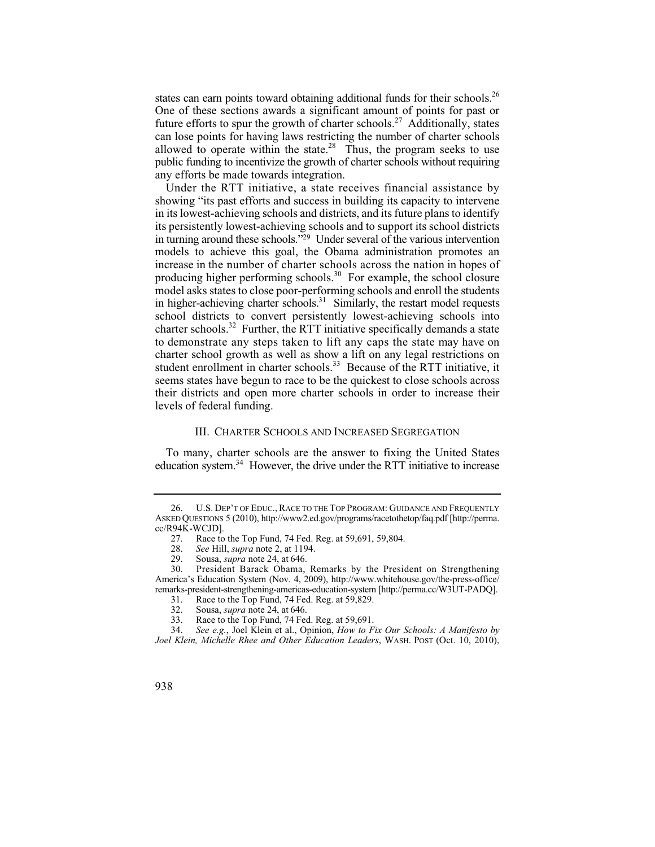states can earn points toward obtaining additional funds for their schools.<sup>26</sup> One of these sections awards a significant amount of points for past or future efforts to spur the growth of charter schools.<sup>27</sup> Additionally, states can lose points for having laws restricting the number of charter schools allowed to operate within the state. $28$  Thus, the program seeks to use public funding to incentivize the growth of charter schools without requiring any efforts be made towards integration.

producing higher performing schools.<sup>30</sup> For example, the school closure to demonstrate any steps taken to lift any caps the state may have on Under the RTT initiative, a state receives financial assistance by showing "its past efforts and success in building its capacity to intervene in its lowest-achieving schools and districts, and its future plans to identify its persistently lowest-achieving schools and to support its school districts in turning around these schools."29 Under several of the various intervention models to achieve this goal, the Obama administration promotes an increase in the number of charter schools across the nation in hopes of model asks states to close poor-performing schools and enroll the students in higher-achieving charter schools.<sup>31</sup> Similarly, the restart model requests school districts to convert persistently lowest-achieving schools into charter schools.<sup>32</sup> Further, the RTT initiative specifically demands a state charter school growth as well as show a lift on any legal restrictions on student enrollment in charter schools.<sup>33</sup> Because of the RTT initiative, it seems states have begun to race to be the quickest to close schools across their districts and open more charter schools in order to increase their levels of federal funding.

### III. CHARTER SCHOOLS AND INCREASED SEGREGATION

To many, charter schools are the answer to fixing the United States education system.<sup>34</sup> However, the drive under the RTT initiative to increase

<sup>26.</sup> U.S. DEP'T OF EDUC., RACE TO THE TOP PROGRAM: GUIDANCE AND FREQUENTLY ASKED QUESTIONS 5 (2010), http://www2.ed.gov/programs/racetothetop/faq.pdf [http://perma. cc/R94K-WCJD].

<sup>27.</sup> Race to the Top Fund, 74 Fed. Reg. at 59,691, 59,804.<br>28. See Hill, *supra* note 2, at 1194.

<sup>28.</sup> *See* Hill, *supra* note 2, at 1194. Sousa, *supra* note 24, at 646.

<sup>30.</sup> President Barack Obama, Remarks by the President on Strengthening America's Education System (Nov. 4, 2009), http://www.whitehouse.gov/the-press-office/ remarks-president-strengthening-americas-education-system [http://perma.cc/W3UT-PADQ].

<sup>31.</sup> Race to the Top Fund, 74 Fed. Reg. at 59,829.<br>32. Sousa, *supra* note 24, at 646.

<sup>32.</sup> Sousa, *supra* note 24, at 646.<br>33. Race to the Top Fund, 74 Fec

Race to the Top Fund, 74 Fed. Reg. at 59,691.

<sup>34.</sup> *See e.g.*, Joel Klein et al., Opinion, *How to Fix Our Schools: A Manifesto by Joel Klein, Michelle Rhee and Other Education Leaders*, WASH. POST (Oct. 10, 2010),

<sup>938</sup>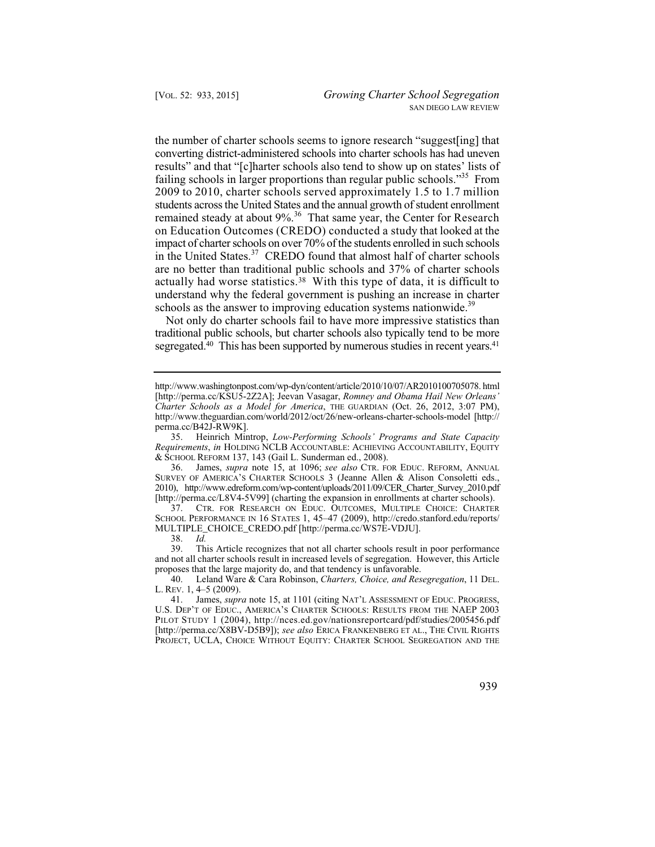remained steady at about 9%.<sup>36</sup> That same year, the Center for Research on Education Outcomes (CREDO) conducted a study that looked at the actually had worse statistics.<sup>38</sup> With this type of data, it is difficult to the number of charter schools seems to ignore research "suggest[ing] that converting district-administered schools into charter schools has had uneven results" and that "[c]harter schools also tend to show up on states' lists of failing schools in larger proportions than regular public schools."35 From 2009 to 2010, charter schools served approximately 1.5 to 1.7 million students across the United States and the annual growth of student enrollment impact of charter schools on over 70% of the students enrolled in such schools in the United States.37 CREDO found that almost half of charter schools are no better than traditional public schools and 37% of charter schools understand why the federal government is pushing an increase in charter schools as the answer to improving education systems nationwide.<sup>39</sup>

segregated.<sup>40</sup> This has been supported by numerous studies in recent years.<sup>41</sup> Not only do charter schools fail to have more impressive statistics than traditional public schools, but charter schools also typically tend to be more

37. CTR. FOR RESEARCH ON EDUC. OUTCOMES, MULTIPLE CHOICE: CHARTER SCHOOL PERFORMANCE IN 16 STATES 1, 45–47 (2009), http://credo.stanford.edu/reports/ MULTIPLE\_CHOICE\_CREDO.pdf [http://perma.cc/WS7E-VDJU].

38. *Id.* 

This Article recognizes that not all charter schools result in poor performance and not all charter schools result in increased levels of segregation. However, this Article proposes that the large majority do, and that tendency is unfavorable.

 41. James, *supra* note 15, at 1101 (citing NAT'L ASSESSMENT OF EDUC. PROGRESS, U.S. DEP'T OF EDUC., AMERICA'S CHARTER SCHOOLS: RESULTS FROM THE NAEP 2003 PILOT STUDY 1 (2004), http://nces.ed.gov/nationsreportcard/pdf/studies/2005456.pdf [http://perma.cc/X8BV-D5B9]); *see also* ERICA FRANKENBERG ET AL., THE CIVIL RIGHTS PROJECT, UCLA, CHOICE WITHOUT EQUITY: CHARTER SCHOOL SEGREGATION AND THE



http://www.washingtonpost.com/wp-dyn/content/article/2010/10/07/AR2010100705078. html [http://perma.cc/KSU5-2Z2A]; Jeevan Vasagar, *Romney and Obama Hail New Orleans' Charter Schools as a Model for America*, THE GUARDIAN (Oct. 26, 2012, 3:07 PM), http://www.theguardian.com/world/2012/oct/26/new-orleans-charter-schools-model [http:// perma.cc/B42J-RW9K].

<sup>35.</sup> Heinrich Mintrop, *Low-Performing Schools' Programs and State Capacity Requirements*, *in* HOLDING NCLB ACCOUNTABLE: ACHIEVING ACCOUNTABILITY, EQUITY & SCHOOL REFORM 137, 143 (Gail L. Sunderman ed., 2008).

 36. James, *supra* note 15, at 1096; *see also* CTR. FOR EDUC. REFORM, ANNUAL SURVEY OF AMERICA'S CHARTER SCHOOLS 3 (Jeanne Allen & Alison Consoletti eds., 2010), http://www.edreform.com/wp-content/uploads/2011/09/CER\_Charter\_Survey\_2010.pdf [http://perma.cc/L8V4-5V99] (charting the expansion in enrollments at charter schools).

<sup>40.</sup> Leland Ware & Cara Robinson, *Charters, Choice, and Resegregation*, 11 DEL. L. REV. 1, 4–5 (2009).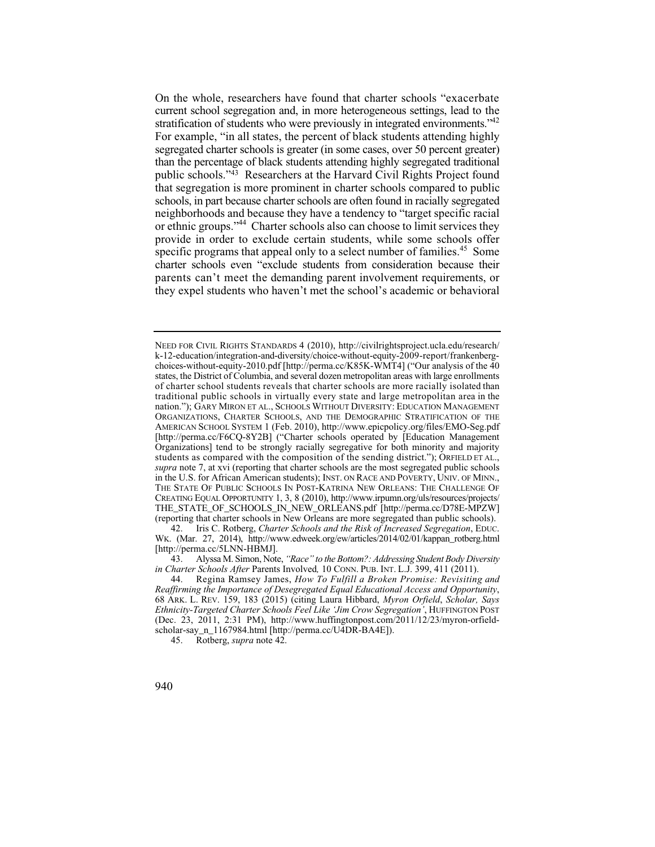parents can't meet the demanding parent involvement requirements, or On the whole, researchers have found that charter schools "exacerbate current school segregation and, in more heterogeneous settings, lead to the stratification of students who were previously in integrated environments."<sup>42</sup> For example, "in all states, the percent of black students attending highly segregated charter schools is greater (in some cases, over 50 percent greater) than the percentage of black students attending highly segregated traditional public schools."43 Researchers at the Harvard Civil Rights Project found that segregation is more prominent in charter schools compared to public schools, in part because charter schools are often found in racially segregated neighborhoods and because they have a tendency to "target specific racial or ethnic groups."44 Charter schools also can choose to limit services they provide in order to exclude certain students, while some schools offer specific programs that appeal only to a select number of families.<sup>45</sup> Some charter schools even "exclude students from consideration because their they expel students who haven't met the school's academic or behavioral

43. Alyssa M. Simon, Note, *"Race" to the Bottom?: Addressing Student Body Diversity in Charter Schools After* Parents Involved*,* 10 CONN. PUB. INT. L.J. 399, 411 (2011).

45. Rotberg, *supra* note 42.

 of charter school students reveals that charter schools are more racially isolated than traditional public schools in virtually every state and large metropolitan area in the Organizations] tend to be strongly racially segregative for both minority and majority NEED FOR CIVIL RIGHTS STANDARDS 4 (2010), http://civilrightsproject.ucla.edu/research/ k-12-education/integration-and-diversity/choice-without-equity-2009-report/frankenbergchoices-without-equity-2010.pdf [http://perma.cc/K85K-WMT4] ("Our analysis of the 40 states, the District of Columbia, and several dozen metropolitan areas with large enrollments nation."); GARY MIRON ET AL., SCHOOLS WITHOUT DIVERSITY: EDUCATION MANAGEMENT ORGANIZATIONS, CHARTER SCHOOLS, AND THE DEMOGRAPHIC STRATIFICATION OF THE AMERICAN SCHOOL SYSTEM 1 (Feb. 2010), http://www.epicpolicy.org/files/EMO-Seg.pdf [http://perma.cc/F6CQ-8Y2B] ("Charter schools operated by [Education Management students as compared with the composition of the sending district."); ORFIELD ET AL., *supra* note 7, at xvi (reporting that charter schools are the most segregated public schools in the U.S. for African American students); INST. ON RACE AND POVERTY, UNIV. OF MINN., THE STATE OF PUBLIC SCHOOLS IN POST-KATRINA NEW ORLEANS: THE CHALLENGE OF CREATING EQUAL OPPORTUNITY 1, 3, 8 (2010), http://www.irpumn.org/uls/resources/projects/ THE\_STATE\_OF\_SCHOOLS\_IN\_NEW\_ORLEANS.pdf [http://perma.cc/D78E-MPZW] (reporting that charter schools in New Orleans are more segregated than public schools).

<sup>42.</sup> Iris C. Rotberg, *Charter Schools and the Risk of Increased Segregation*, EDUC. WK. (Mar. 27, 2014), http://www.edweek.org/ew/articles/2014/02/01/kappan\_rotberg.html [http://perma.cc/5LNN-HBMJ].

 44. Regina Ramsey James, *How To Fulfill a Broken Promise: Revisiting and Reaffirming the Importance of Desegregated Equal Educational Access and Opportunity*, 68 ARK. L. REV. 159, 183 (2015) (citing Laura Hibbard, *Myron Orfield*, *Scholar, Says Ethnicity-Targeted Charter Schools Feel Like 'Jim Crow Segregation'*, HUFFINGTON POST (Dec. 23, 2011, 2:31 PM), http://www.huffingtonpost.com/2011/12/23/myron-orfieldscholar-say\_n\_1167984.html [http://perma.cc/U4DR-BA4E]).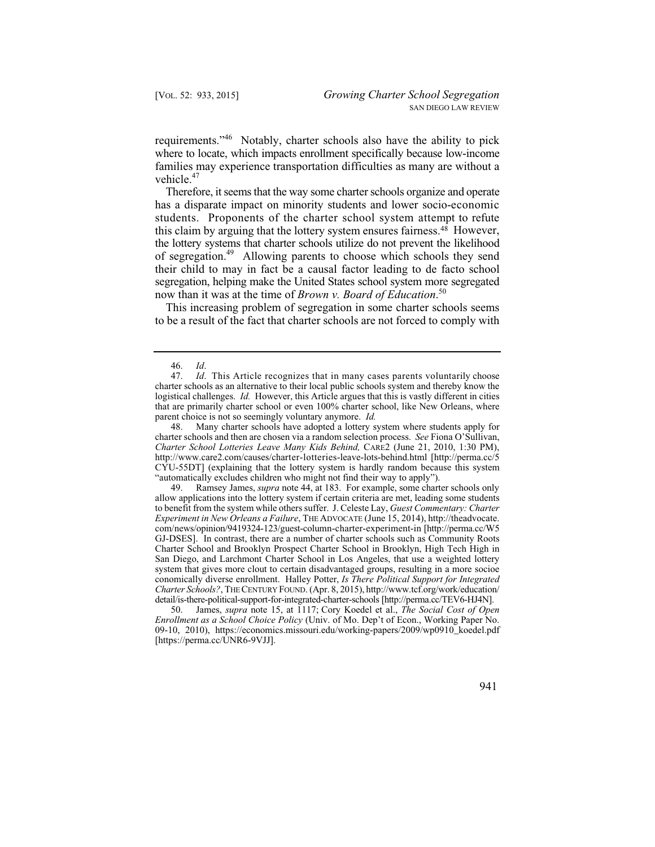requirements."46 Notably, charter schools also have the ability to pick where to locate, which impacts enrollment specifically because low-income families may experience transportation difficulties as many are without a vehicle.<sup>47</sup>

 students. Proponents of the charter school system attempt to refute Therefore, it seems that the way some charter schools organize and operate has a disparate impact on minority students and lower socio-economic this claim by arguing that the lottery system ensures fairness.48 However, the lottery systems that charter schools utilize do not prevent the likelihood of segregation.49 Allowing parents to choose which schools they send their child to may in fact be a causal factor leading to de facto school segregation, helping make the United States school system more segregated now than it was at the time of *Brown v. Board of Education*. 50

This increasing problem of segregation in some charter schools seems to be a result of the fact that charter schools are not forced to comply with

 CYU-55DT] (explaining that the lottery system is hardly random because this system 48. Many charter schools have adopted a lottery system where students apply for charter schools and then are chosen via a random selection process. *See* Fiona O'Sullivan, *Charter School Lotteries Leave Many Kids Behind,* CARE2 (June 21, 2010, 1:30 PM), http://www.care2.com/causes/charter-lotteries-leave-lots-behind.html [http://perma.cc/5 "automatically excludes children who might not find their way to apply").<br>49. Ramsey James, *supra* note 44, at 183. For example, some chart

 49. Ramsey James, *supra* note 44, at 183. For example, some charter schools only allow applications into the lottery system if certain criteria are met, leading some students to benefit from the system while others suffer. J. Celeste Lay, *Guest Commentary: Charter Experiment in New Orleans a Failure*, THE ADVOCATE (June 15, 2014), http://theadvocate. com/news/opinion/9419324-123/guest-column-charter-experiment-in [http://perma.cc/W5 GJ-DSES]. In contrast, there are a number of charter schools such as Community Roots Charter School and Brooklyn Prospect Charter School in Brooklyn, High Tech High in San Diego, and Larchmont Charter School in Los Angeles, that use a weighted lottery system that gives more clout to certain disadvantaged groups, resulting in a more socioe conomically diverse enrollment. Halley Potter, *Is There Political Support for Integrated Charter Schools?*, THE CENTURY FOUND. (Apr. 8, 2015), http://www.tcf.org/work/education/ detail/is-there-political-support-for-integrated-charter-schools [http://perma.cc/TEV6-HJ4N].

 50. James, *supra* note 15, at 1117; Cory Koedel et al., *The Social Cost of Open Enrollment as a School Choice Policy* (Univ. of Mo. Dep't of Econ., Working Paper No. 09-10, 2010), https://economics.missouri.edu/working-papers/2009/wp0910\_koedel.pdf [https://perma.cc/UNR6-9VJJ].

<sup>46.</sup> *Id*.

 parent choice is not so seemingly voluntary anymore. *Id. Id.* This Article recognizes that in many cases parents voluntarily choose charter schools as an alternative to their local public schools system and thereby know the logistical challenges. *Id.* However, this Article argues that this is vastly different in cities that are primarily charter school or even 100% charter school, like New Orleans, where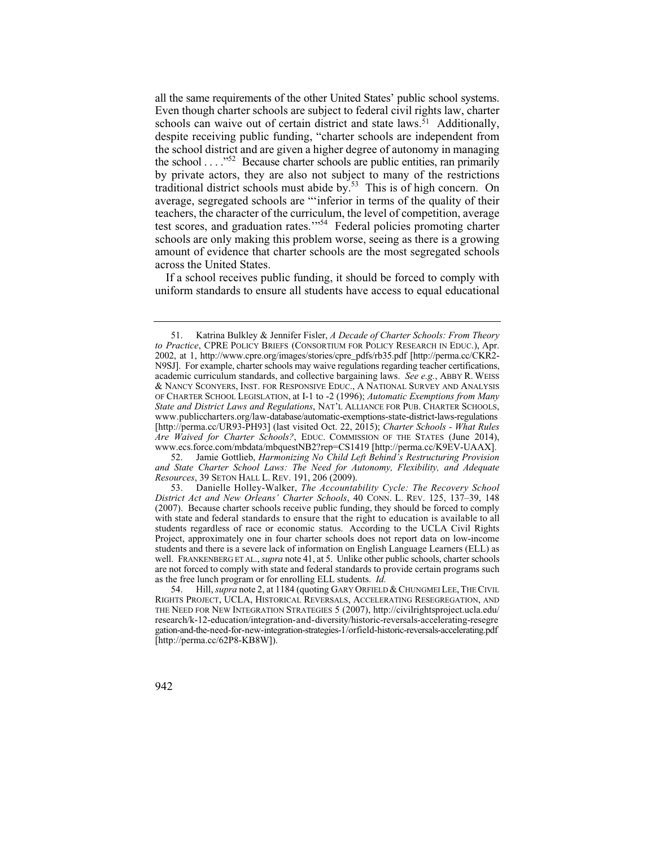all the same requirements of the other United States' public school systems. Even though charter schools are subject to federal civil rights law, charter  $\overline{\phantom{a}}$ schools can waive out of certain district and state laws.<sup>51</sup> Additionally, despite receiving public funding, "charter schools are independent from the school district and are given a higher degree of autonomy in managing the school . . . ."52 Because charter schools are public entities, ran primarily by private actors, they are also not subject to many of the restrictions traditional district schools must abide by.<sup>53</sup> This is of high concern. On average, segregated schools are "'inferior in terms of the quality of their teachers, the character of the curriculum, the level of competition, average test scores, and graduation rates.'"54 Federal policies promoting charter schools are only making this problem worse, seeing as there is a growing amount of evidence that charter schools are the most segregated schools across the United States.

If a school receives public funding, it should be forced to comply with uniform standards to ensure all students have access to equal educational

<sup>51.</sup> Katrina Bulkley & Jennifer Fisler, *A Decade of Charter Schools: From Theory to Practice*, CPRE POLICY BRIEFS (CONSORTIUM FOR POLICY RESEARCH IN EDUC.), Apr. 2002, at 1, http://www.cpre.org/images/stories/cpre\_pdfs/rb35.pdf [http://perma.cc/CKR2 N9SJ]. For example, charter schools may waive regulations regarding teacher certifications, academic curriculum standards, and collective bargaining laws. *See e.g.*, ABBY R. WEISS & NANCY SCONYERS, INST. FOR RESPONSIVE EDUC., A NATIONAL SURVEY AND ANALYSIS OF CHARTER SCHOOL LEGISLATION, at I-1 to -2 (1996); *Automatic Exemptions from Many State and District Laws and Regulations*, NAT'L ALLIANCE FOR PUB. CHARTER SCHOOLS, www.publiccharters.org/law-database/automatic-exemptions-state-district-laws-regulations [http://perma.cc/UR93-PH93] (last visited Oct. 22, 2015); *Charter Schools - What Rules Are Waived for Charter Schools?*, EDUC. COMMISSION OF THE STATES (June 2014), www.ecs.force.com/mbdata/mbquestNB2?rep=CS1419 [http://perma.cc/K9EV-UAAX].

 <sup>52.</sup> Jamie Gottlieb, *Harmonizing No Child Left Behind's Restructuring Provision and State Charter School Laws: The Need for Autonomy, Flexibility, and Adequate Resources*, 39 SETON HALL L. REV. 191, 206 (2009).

 53. Danielle Holley-Walker, *The Accountability Cycle: The Recovery School*  with state and federal standards to ensure that the right to education is available to all *District Act and New Orleans' Charter Schools*, 40 CONN. L. REV. 125, 137–39, 148 (2007). Because charter schools receive public funding, they should be forced to comply students regardless of race or economic status. According to the UCLA Civil Rights Project, approximately one in four charter schools does not report data on low-income students and there is a severe lack of information on English Language Learners (ELL) as well. FRANKENBERG ET AL., *supra* note 41, at 5. Unlike other public schools, charter schools are not forced to comply with state and federal standards to provide certain programs such as the free lunch program or for enrolling ELL students. *Id.*<br>54. Hill. *supra* note 2. at 1184 (quoting GARY ORFIELD)

 <sup>54.</sup> Hill, *supra* note 2, at 1184 (quoting GARY ORFIELD & CHUNGMEI LEE, THE CIVIL RIGHTS PROJECT, UCLA, HISTORICAL REVERSALS, ACCELERATING RESEGREGATION, AND THE NEED FOR NEW INTEGRATION STRATEGIES 5 (2007), http://civilrightsproject.ucla.edu/ research/k-12-education/integration-and-diversity/historic-reversals-accelerating-resegre gation-and-the-need-for-new-integration-strategies-1/orfield-historic-reversals-accelerating.pdf [http://perma.cc/62P8-KB8W]).

<sup>942</sup>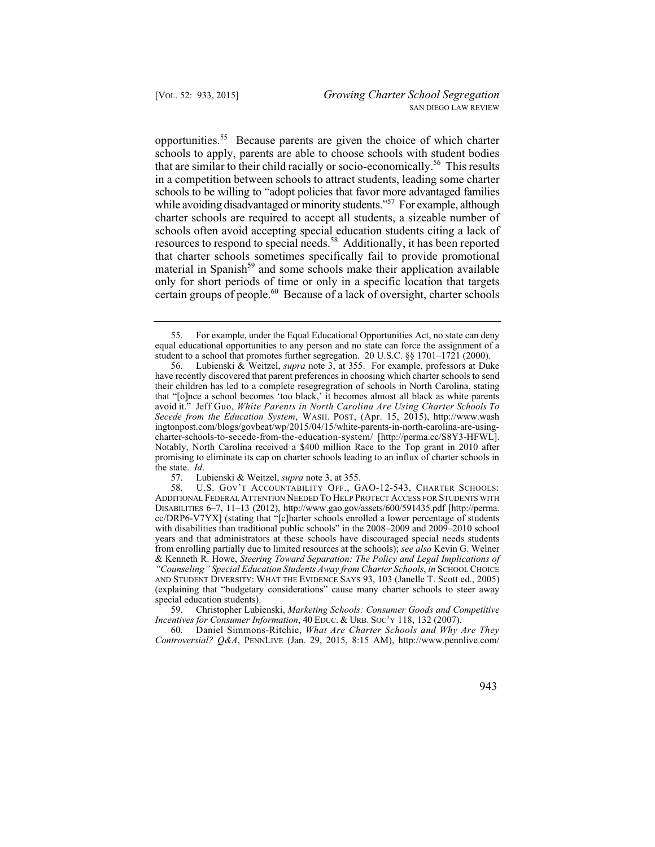certain groups of people.<sup>60</sup> Because of a lack of oversight, charter schools opportunities.55 Because parents are given the choice of which charter schools to apply, parents are able to choose schools with student bodies that are similar to their child racially or socio-economically.<sup>56</sup> This results in a competition between schools to attract students, leading some charter schools to be willing to "adopt policies that favor more advantaged families while avoiding disadvantaged or minority students."<sup>57</sup> For example, although charter schools are required to accept all students, a sizeable number of schools often avoid accepting special education students citing a lack of resources to respond to special needs.58 Additionally, it has been reported that charter schools sometimes specifically fail to provide promotional material in Spanish<sup>59</sup> and some schools make their application available only for short periods of time or only in a specific location that targets

<sup>55.</sup> For example, under the Equal Educational Opportunities Act, no state can deny equal educational opportunities to any person and no state can force the assignment of a student to a school that promotes further segregation. 20 U.S.C. §§ 1701–1721 (2000).

 avoid it." Jeff Guo, *White Parents in North Carolina Are Using Charter Schools To*  56. Lubienski & Weitzel, *supra* note 3, at 355. For example, professors at Duke have recently discovered that parent preferences in choosing which charter schools to send their children has led to a complete resegregration of schools in North Carolina, stating that "[o]nce a school becomes 'too black,' it becomes almost all black as white parents *Secede from the Education System*, WASH. POST, (Apr. 15, 2015), http://www.wash ingtonpost.com/blogs/govbeat/wp/2015/04/15/white-parents-in-north-carolina-are-usingcharter-schools-to-secede-from-the-education-system/ [http://perma.cc/S8Y3-HFWL]. Notably, North Carolina received a \$400 million Race to the Top grant in 2010 after promising to eliminate its cap on charter schools leading to an influx of charter schools in the state. *Id*.

<sup>57.</sup> Lubienski & Weitzel, *supra* note 3, at 355. U.S. GOV'T ACCOUNTABILITY OFF., GAO-12-543, CHARTER SCHOOLS: ADDITIONAL FEDERAL ATTENTION NEEDED TO HELP PROTECT ACCESS FOR STUDENTS WITH DISABILITIES 6–7, 11–13 (2012), http://www.gao.gov/assets/600/591435.pdf [http://perma. cc/DRP6-V7YX] (stating that "[c]harter schools enrolled a lower percentage of students with disabilities than traditional public schools" in the 2008–2009 and 2009–2010 school years and that administrators at these schools have discouraged special needs students from enrolling partially due to limited resources at the schools); *see also* Kevin G. Welner & Kenneth R. Howe, *Steering Toward Separation: The Policy and Legal Implications of "Counseling" Special Education Students Away from Charter Schools*, *in* SCHOOL CHOICE AND STUDENT DIVERSITY: WHAT THE EVIDENCE SAYS 93, 103 (Janelle T. Scott ed., 2005) (explaining that "budgetary considerations" cause many charter schools to steer away special education students).

 59. Christopher Lubienski, *Marketing Schools: Consumer Goods and Competitive Incentives for Consumer Information*, 40 EDUC. & URB. SOC'Y 118, 132 (2007).

<sup>60.</sup>  60. Daniel Simmons-Ritchie, *What Are Charter Schools and Why Are They Controversial? Q&A*, PENNLIVE (Jan. 29, 2015, 8:15 AM), http://www.pennlive.com/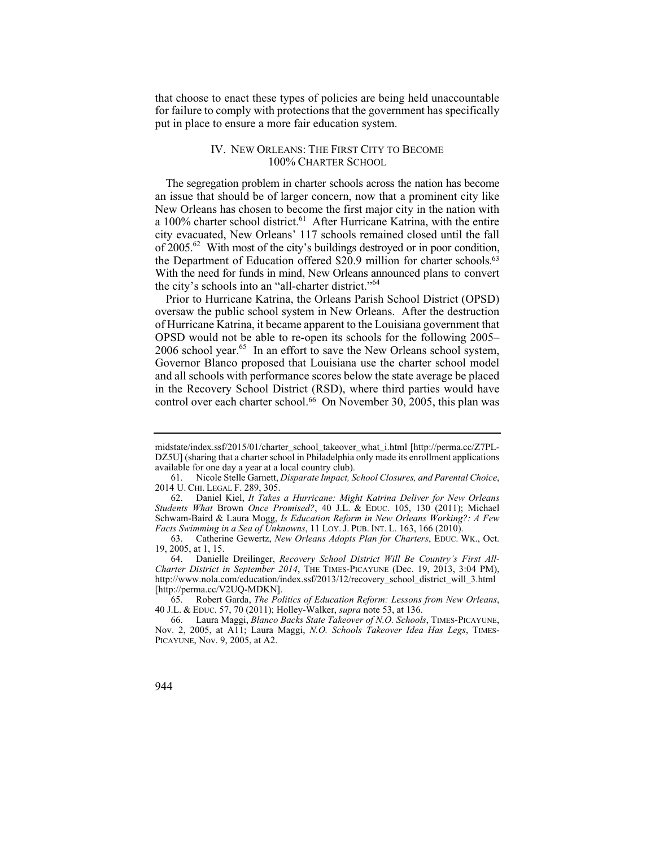that choose to enact these types of policies are being held unaccountable for failure to comply with protections that the government has specifically put in place to ensure a more fair education system.

# IV. NEW ORLEANS: THE FIRST CITY TO BECOME 100% CHARTER SCHOOL

 With the need for funds in mind, New Orleans announced plans to convert The segregation problem in charter schools across the nation has become an issue that should be of larger concern, now that a prominent city like New Orleans has chosen to become the first major city in the nation with a 100% charter school district.<sup>61</sup> After Hurricane Katrina, with the entire city evacuated, New Orleans' 117 schools remained closed until the fall of 2005.62 With most of the city's buildings destroyed or in poor condition, the Department of Education offered \$20.9 million for charter schools.<sup>63</sup> the city's schools into an "all-charter district."64

Prior to Hurricane Katrina, the Orleans Parish School District (OPSD) oversaw the public school system in New Orleans. After the destruction of Hurricane Katrina, it became apparent to the Louisiana government that OPSD would not be able to re-open its schools for the following 2005–  $2006$  school year.<sup>65</sup> In an effort to save the New Orleans school system, Governor Blanco proposed that Louisiana use the charter school model and all schools with performance scores below the state average be placed in the Recovery School District (RSD), where third parties would have control over each charter school.<sup>66</sup> On November 30, 2005, this plan was

midstate/index.ssf/2015/01/charter\_school\_takeover\_what\_i.html [http://perma.cc/Z7PL-DZ5U] (sharing that a charter school in Philadelphia only made its enrollment applications available for one day a year at a local country club).

<sup>61.</sup> Nicole Stelle Garnett, *Disparate Impact, School Closures, and Parental Choice*, 2014 U. CHI. LEGAL F. 289, 305.

 Schwam-Baird & Laura Mogg, *Is Education Reform in New Orleans Working?: A Few*  62. Daniel Kiel, *It Takes a Hurricane: Might Katrina Deliver for New Orleans Students What* Brown *Once Promised?*, 40 J.L. & EDUC. 105, 130 (2011); Michael *Facts Swimming in a Sea of Unknowns*, 11 LOY. J. PUB. INT. L. 163, 166 (2010).

<sup>63.</sup> Catherine Gewertz, *New Orleans Adopts Plan for Charters*, EDUC. WK., Oct. 19, 2005, at 1, 15.

<sup>64.</sup> Danielle Dreilinger, *Recovery School District Will Be Country's First All-Charter District in September 2014*, THE TIMES-PICAYUNE (Dec. 19, 2013, 3:04 PM), http://www.nola.com/education/index.ssf/2013/12/recovery\_school\_district\_will\_3.html [http://perma.cc/V2UQ-MDKN].

 <sup>65.</sup> Robert Garda, *The Politics of Education Reform: Lessons from New Orleans*, 40 J.L. & EDUC. 57, 70 (2011); Holley-Walker, *supra* note 53, at 136.

<sup>66.</sup> Laura Maggi, *Blanco Backs State Takeover of N.O. Schools*, TIMES-PICAYUNE, Nov. 2, 2005, at A11; Laura Maggi, *N.O. Schools Takeover Idea Has Legs*, TIMES-PICAYUNE, Nov. 9, 2005, at A2.

<sup>944</sup>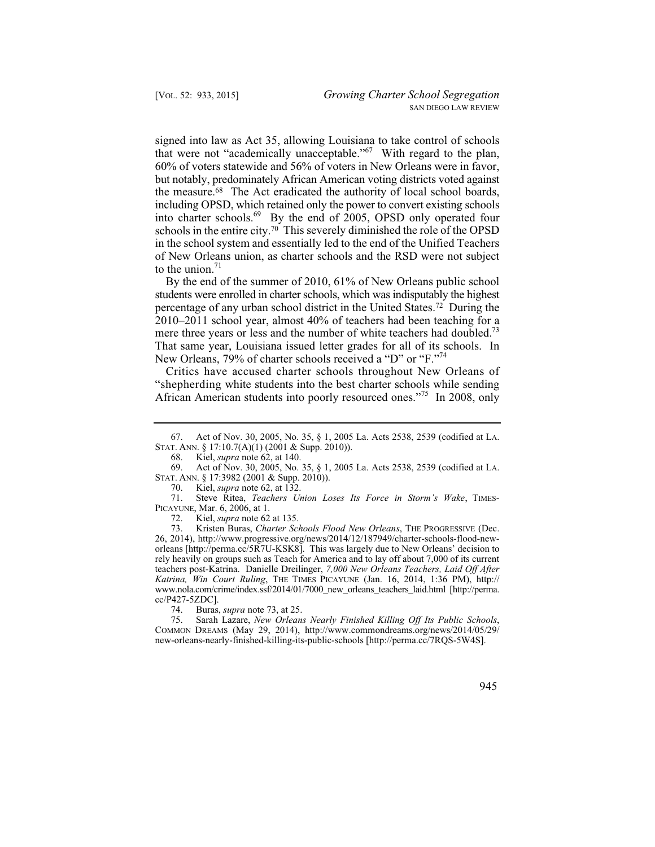signed into law as Act 35, allowing Louisiana to take control of schools that were not "academically unacceptable."67 With regard to the plan, 60% of voters statewide and 56% of voters in New Orleans were in favor, but notably, predominately African American voting districts voted against the measure.68 The Act eradicated the authority of local school boards, including OPSD, which retained only the power to convert existing schools into charter schools.69 By the end of 2005, OPSD only operated four schools in the entire city.70 This severely diminished the role of the OPSD in the school system and essentially led to the end of the Unified Teachers of New Orleans union, as charter schools and the RSD were not subject to the union. $71$ 

By the end of the summer of 2010, 61% of New Orleans public school students were enrolled in charter schools, which was indisputably the highest percentage of any urban school district in the United States.72 During the 2010–2011 school year, almost 40% of teachers had been teaching for a mere three years or less and the number of white teachers had doubled.<sup>73</sup> That same year, Louisiana issued letter grades for all of its schools. In New Orleans, 79% of charter schools received a "D" or "F."<sup>74</sup>

Critics have accused charter schools throughout New Orleans of "shepherding white students into the best charter schools while sending African American students into poorly resourced ones."<sup>75</sup> In 2008, only

 71. Steve Ritea, *Teachers Union Loses Its Force in Storm's Wake*, TIMES-PICAYUNE, Mar. 6, 2006, at 1.<br>72. Kiel. *supra* note 62

Kiel, *supra* note 62 at 135.

 73. Kristen Buras, *Charter Schools Flood New Orleans*, THE PROGRESSIVE (Dec. 26, 2014), http://www.progressive.org/news/2014/12/187949/charter-schools-flood-neworleans [http://perma.cc/5R7U-KSK8]. This was largely due to New Orleans' decision to rely heavily on groups such as Teach for America and to lay off about 7,000 of its current teachers post-Katrina. Danielle Dreilinger, *7,000 New Orleans Teachers, Laid Off After Katrina, Win Court Ruling*, THE TIMES PICAYUNE (Jan. 16, 2014, 1:36 PM), http:// www.nola.com/crime/index.ssf/2014/01/7000\_new\_orleans\_teachers\_laid.html [http://perma. cc/P427-5ZDC].

74. Buras, *supra* note 73, at 25.

75. Sarah Lazare, *New Orleans Nearly Finished Killing Off Its Public Schools*, COMMON DREAMS (May 29, 2014), http://www.commondreams.org/news/2014/05/29/ new-orleans-nearly-finished-killing-its-public-schools [http://perma.cc/7RQS-5W4S].

<sup>67.</sup> Act of Nov. 30, 2005, No. 35, § 1, 2005 La. Acts 2538, 2539 (codified at LA. STAT. ANN. § 17:10.7(A)(1) (2001 & Supp. 2010)).<br>68 Kiel *supra* note 62, at 140

<sup>68.</sup> Kiel, *supra* note 62, at 140.

<sup>69.</sup> Act of Nov. 30, 2005, No. 35, § 1, 2005 La. Acts 2538, 2539 (codified at LA. STAT. ANN. § 17:3982 (2001 & Supp. 2010)).

<sup>70.</sup> Kiel, *supra* note 62, at 132.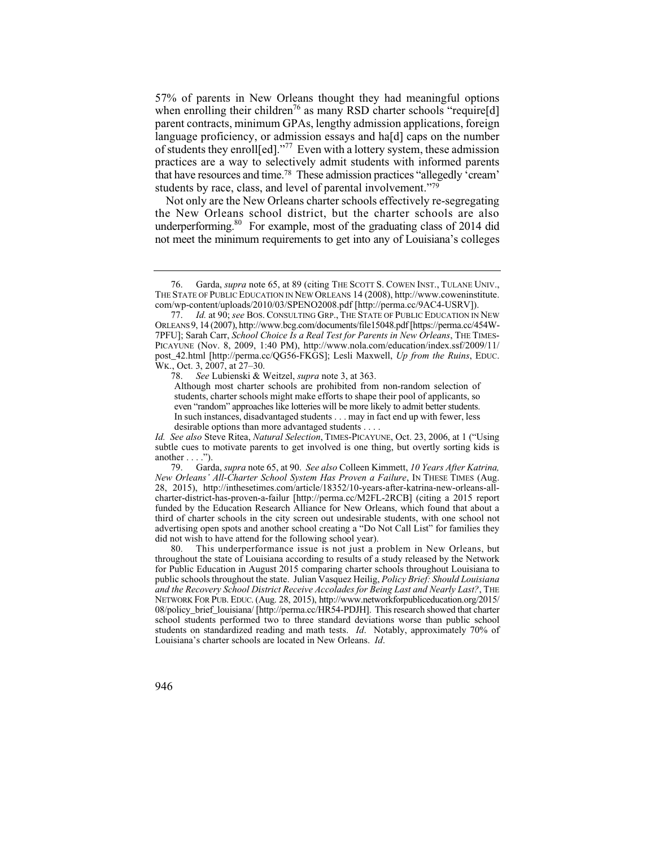that have resources and time.78 These admission practices "allegedly 'cream' 57% of parents in New Orleans thought they had meaningful options when enrolling their children<sup>76</sup> as many RSD charter schools "require [d] parent contracts, minimum GPAs, lengthy admission applications, foreign language proficiency, or admission essays and haldl caps on the number of students they enroll[ed]."77 Even with a lottery system, these admission practices are a way to selectively admit students with informed parents students by race, class, and level of parental involvement."79

 not meet the minimum requirements to get into any of Louisiana's colleges Not only are the New Orleans charter schools effectively re-segregating the New Orleans school district, but the charter schools are also underperforming.<sup>80</sup> For example, most of the graduating class of 2014 did

78. *See* Lubienski & Weitzel, *supra* note 3, at 363.

 even "random" approaches like lotteries will be more likely to admit better students. Although most charter schools are prohibited from non-random selection of students, charter schools might make efforts to shape their pool of applicants, so In such instances, disadvantaged students . . . may in fact end up with fewer, less desirable options than more advantaged students . . . .

 <sup>76.</sup> Garda, *supra* note 65, at 89 (citing THE SCOTT S. COWEN INST., TULANE UNIV., THE STATE OF PUBLIC EDUCATION IN NEW ORLEANS 14 (2008), http://www.coweninstitute. com/wp-content/uploads/2010/03/SPENO2008.pdf [http://perma.cc/9AC4-USRV]).

 <sup>77.</sup> *Id.* at 90; *see* BOS. CONSULTING GRP., THE STATE OF PUBLIC EDUCATION IN NEW ORLEANS 9, 14 (2007), http://www.bcg.com/documents/file15048.pdf [https://perma.cc/454W-7PFU]; Sarah Carr, *School Choice Is a Real Test for Parents in New Orleans*, THE TIMES-PICAYUNE (Nov. 8, 2009, 1:40 PM), http://www.nola.com/education/index.ssf/2009/11/ post\_42.html [http://perma.cc/QG56-FKGS]; Lesli Maxwell, *Up from the Ruins*, EDUC. WK., Oct. 3, 2007, at 27–30.

 subtle cues to motivate parents to get involved is one thing, but overtly sorting kids is *Id. See also* Steve Ritea, *Natural Selection*, TIMES-PICAYUNE, Oct. 23, 2006, at 1 ("Using another  $\dots$  .").

<sup>79.</sup> Garda, *supra* note 65, at 90. *See also* Colleen Kimmett, *10 Years After Katrina, New Orleans' All-Charter School System Has Proven a Failure*, IN THESE TIMES (Aug. 28, 2015), http://inthesetimes.com/article/18352/10-years-after-katrina-new-orleans-allcharter-district-has-proven-a-failur [http://perma.cc/M2FL-2RCB] (citing a 2015 report funded by the Education Research Alliance for New Orleans, which found that about a third of charter schools in the city screen out undesirable students, with one school not advertising open spots and another school creating a "Do Not Call List" for families they did not wish to have attend for the following school year).

<sup>80.</sup> This underperformance issue is not just a problem in New Orleans, but throughout the state of Louisiana according to results of a study released by the Network for Public Education in August 2015 comparing charter schools throughout Louisiana to public schools throughout the state. Julian Vasquez Heilig, *Policy Brief: Should Louisiana and the Recovery School District Receive Accolades for Being Last and Nearly Last?*, THE NETWORK FOR PUB. EDUC. (Aug. 28, 2015), http://www.networkforpubliceducation.org/2015/ 08/policy\_brief\_louisiana/ [http://perma.cc/HR54-PDJH]. This research showed that charter school students performed two to three standard deviations worse than public school students on standardized reading and math tests. *Id*. Notably, approximately 70% of Louisiana's charter schools are located in New Orleans. *Id*.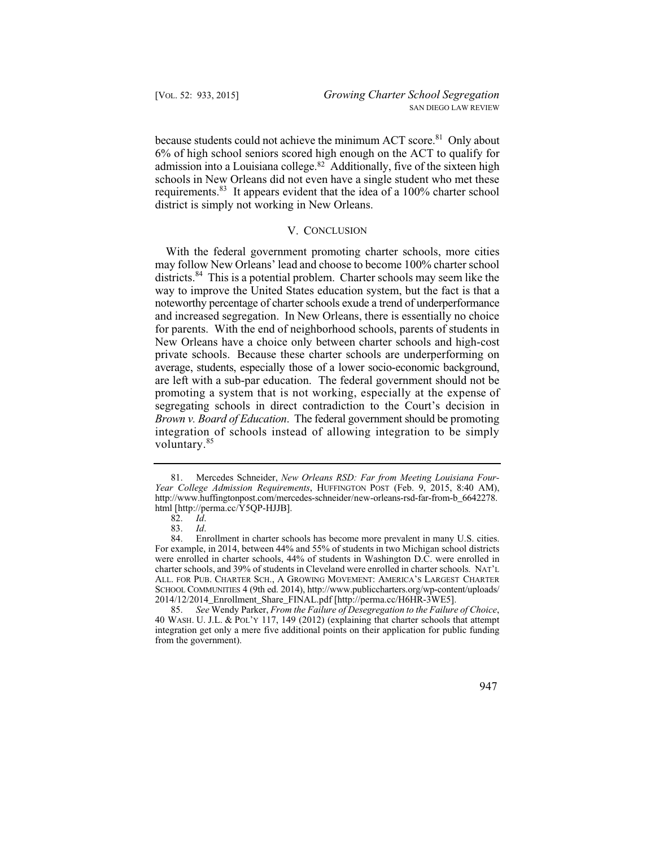because students could not achieve the minimum ACT score.<sup>81</sup> Only about 6% of high school seniors scored high enough on the ACT to qualify for admission into a Louisiana college.82 Additionally, five of the sixteen high schools in New Orleans did not even have a single student who met these requirements.83 It appears evident that the idea of a 100% charter school district is simply not working in New Orleans.

## V. CONCLUSION

 promoting a system that is not working, especially at the expense of With the federal government promoting charter schools, more cities may follow New Orleans' lead and choose to become 100% charter school districts.<sup>84</sup> This is a potential problem. Charter schools may seem like the way to improve the United States education system, but the fact is that a noteworthy percentage of charter schools exude a trend of underperformance and increased segregation. In New Orleans, there is essentially no choice for parents. With the end of neighborhood schools, parents of students in New Orleans have a choice only between charter schools and high-cost private schools. Because these charter schools are underperforming on average, students, especially those of a lower socio-economic background, are left with a sub-par education. The federal government should not be segregating schools in direct contradiction to the Court's decision in *Brown v. Board of Education*. The federal government should be promoting integration of schools instead of allowing integration to be simply voluntary.<sup>85</sup>

 <sup>85.</sup> *See* Wendy Parker, *From the Failure of Desegregation to the Failure of Choice*, 40 WASH. U. J.L. & POL'Y 117, 149 (2012) (explaining that charter schools that attempt integration get only a mere five additional points on their application for public funding from the government).



 <sup>81.</sup> Mercedes Schneider, *New Orleans RSD: Far from Meeting Louisiana Four-Year College Admission Requirements*, HUFFINGTON POST (Feb. 9, 2015, 8:40 AM), http://www.huffingtonpost.com/mercedes-schneider/new-orleans-rsd-far-from-b\_6642278. html [http://perma.cc/Y5QP-HJJB].<br>82.  $Id$ .

<sup>82.</sup> *Id*.

 <sup>83.</sup> *Id*.

<sup>84.</sup> Enrollment in charter schools has become more prevalent in many U.S. cities. For example, in 2014, between 44% and 55% of students in two Michigan school districts were enrolled in charter schools, 44% of students in Washington D.C. were enrolled in charter schools, and 39% of students in Cleveland were enrolled in charter schools. NAT'L ALL. FOR PUB. CHARTER SCH., A GROWING MOVEMENT: AMERICA'S LARGEST CHARTER SCHOOL COMMUNITIES 4 (9th ed. 2014), http://www.publiccharters.org/wp-content/uploads/ 2014/12/2014\_Enrollment\_Share\_FINAL.pdf [http://perma.cc/H6HR-3WE5].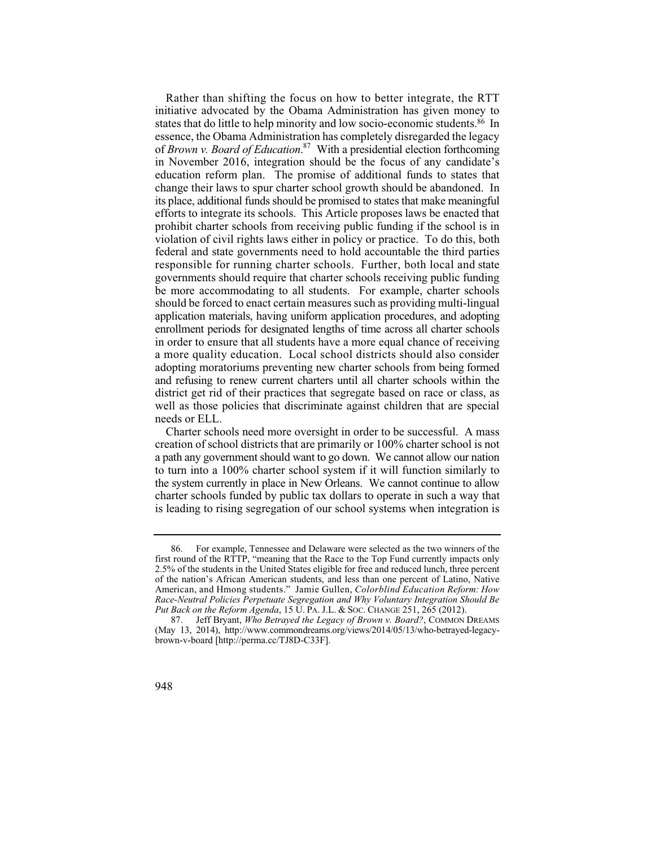responsible for running charter schools. Further, both local and state adopting moratoriums preventing new charter schools from being formed and refusing to renew current charters until all charter schools within the Rather than shifting the focus on how to better integrate, the RTT initiative advocated by the Obama Administration has given money to states that do little to help minority and low socio-economic students.<sup>86</sup> In essence, the Obama Administration has completely disregarded the legacy of *Brown v. Board of Education*. 87 With a presidential election forthcoming in November 2016, integration should be the focus of any candidate's education reform plan. The promise of additional funds to states that change their laws to spur charter school growth should be abandoned. In its place, additional funds should be promised to states that make meaningful efforts to integrate its schools. This Article proposes laws be enacted that prohibit charter schools from receiving public funding if the school is in violation of civil rights laws either in policy or practice. To do this, both federal and state governments need to hold accountable the third parties governments should require that charter schools receiving public funding be more accommodating to all students. For example, charter schools should be forced to enact certain measures such as providing multi-lingual application materials, having uniform application procedures, and adopting enrollment periods for designated lengths of time across all charter schools in order to ensure that all students have a more equal chance of receiving a more quality education. Local school districts should also consider district get rid of their practices that segregate based on race or class, as well as those policies that discriminate against children that are special needs or ELL.

Charter schools need more oversight in order to be successful. A mass creation of school districts that are primarily or 100% charter school is not a path any government should want to go down. We cannot allow our nation to turn into a 100% charter school system if it will function similarly to the system currently in place in New Orleans. We cannot continue to allow charter schools funded by public tax dollars to operate in such a way that is leading to rising segregation of our school systems when integration is

 American, and Hmong students." Jamie Gullen, *Colorblind Education Reform: How*  86. For example, Tennessee and Delaware were selected as the two winners of the first round of the RTTP, "meaning that the Race to the Top Fund currently impacts only 2.5% of the students in the United States eligible for free and reduced lunch, three percent of the nation's African American students, and less than one percent of Latino, Native *Race-Neutral Policies Perpetuate Segregation and Why Voluntary Integration Should Be Put Back on the Reform Agenda*, 15 U. PA. J.L. & SOC. CHANGE 251, 265 (2012).

<sup>87.</sup> Jeff Bryant, *Who Betrayed the Legacy of Brown v. Board?*, COMMON DREAMS (May 13, 2014), http://www.commondreams.org/views/2014/05/13/who-betrayed-legacybrown-v-board [http://perma.cc/TJ8D-C33F].

<sup>948</sup>